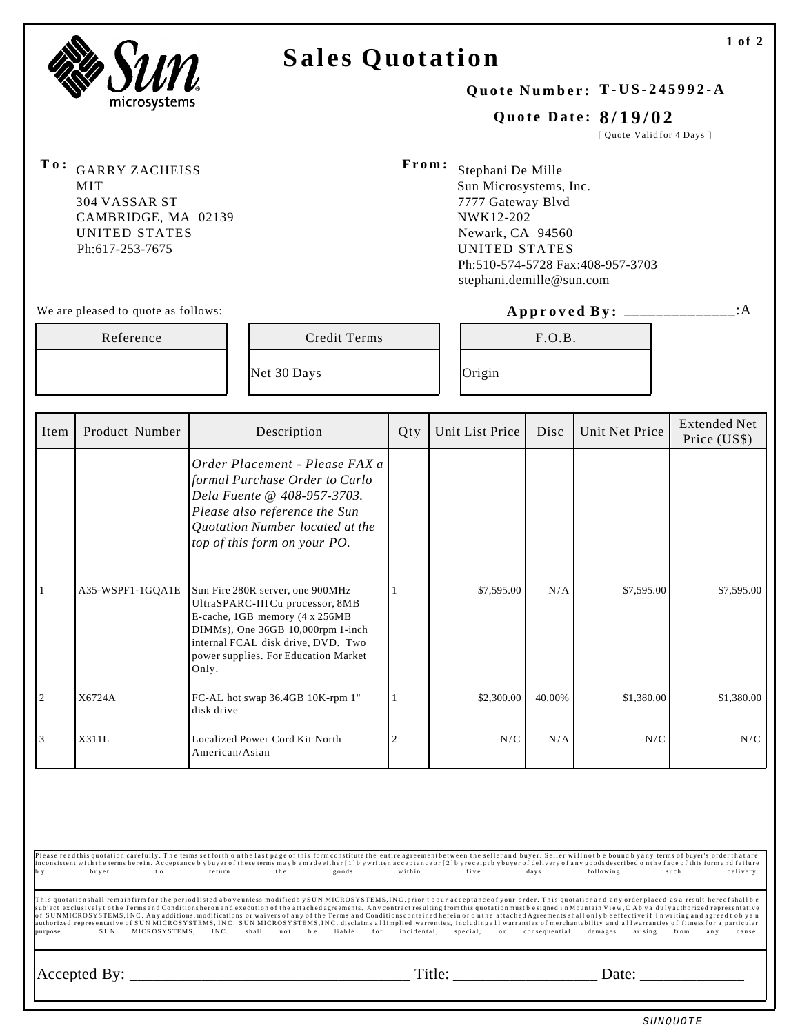

## **Sales Quotation**

#### **Quote Number: T-US-245992-A**

#### **Quote Date: 8/19/02**

[ Quote Valid for 4 Days ]

**To:** GARRY ZACHEISS MIT 304 VASSAR ST CAMBRIDGE, MA 02139 UNITED STATES Ph:617-253-7675

**From:** Stephani De Mille Sun Microsystems, Inc. 7777 Gateway Blvd NWK12-202 Newark, CA 94560 UNITED STATES Ph:510-574-5728 Fax:408-957-3703 stephani.demille@sun.com

#### We are pleased to quote as follows: **Approved By:** \_\_\_\_\_\_\_\_\_\_\_\_\_\_:A

| Reference |                | Credit Terms |     | F.O.B.          |      |                |                                     |
|-----------|----------------|--------------|-----|-----------------|------|----------------|-------------------------------------|
|           |                | Net 30 Days  |     | Origin          |      |                |                                     |
| Item      | Product Number | Description  | Qty | Unit List Price | Disc | Unit Net Price | <b>Extended Net</b><br>Price (US\$) |

|   |                    |                                                                                                                                                                                                                                    |            |        |            | Price (US\$) |
|---|--------------------|------------------------------------------------------------------------------------------------------------------------------------------------------------------------------------------------------------------------------------|------------|--------|------------|--------------|
|   |                    | Order Placement - Please FAX a<br>formal Purchase Order to Carlo<br>Dela Fuente @ 408-957-3703.<br>Please also reference the Sun<br>Quotation Number located at the<br>top of this form on your PO.                                |            |        |            |              |
|   | $A35-WSPF1-1GQA1E$ | Sun Fire 280R server, one 900MHz<br>UltraSPARC-III Cu processor, 8MB<br>E-cache, 1GB memory (4 x 256MB<br>DIMMs), One 36GB 10,000rpm 1-inch<br>internal FCAL disk drive, DVD. Two<br>power supplies. For Education Market<br>Only. | \$7,595.00 | N/A    | \$7,595.00 | \$7,595.00   |
| 2 | X6724A             | FC-AL hot swap 36.4GB 10K-rpm 1"<br>disk drive                                                                                                                                                                                     | \$2,300.00 | 40.00% | \$1,380.00 | \$1,380.00   |
| 3 | X311L              | Localized Power Cord Kit North<br>American/Asian                                                                                                                                                                                   | N/C        | N/A    | N/C        | N/C          |

Please read this quotation carefully. The terms set forth o n the last page o f this form constitute the entire agreement between the seller and buyer. Seller will not b e bound b y any terms o f buyer's order that are inconsistent with the terms herein. Acceptance b ybuyer of these terms may be made either [1] b y written acceptance or [2] b y receipt b y buyer of delivery of any goods sectibed on the face of this form and failure<br>by bu

This quotationshall remainfirm for the period listed above unless modifiedby SUN MICROSYSTEMS,INC. prior toour acceptance of your order. This quotationand any order placed as a result hereofshall be<br>subject exclusively to

Accepted By: \_\_\_\_\_\_\_\_\_\_\_\_\_\_\_\_\_\_\_\_\_\_\_\_\_\_\_\_\_\_\_\_\_\_\_ Title: \_\_\_\_\_\_\_\_\_\_\_\_\_\_\_\_\_\_ Date: \_\_\_\_\_\_\_\_\_\_\_\_\_